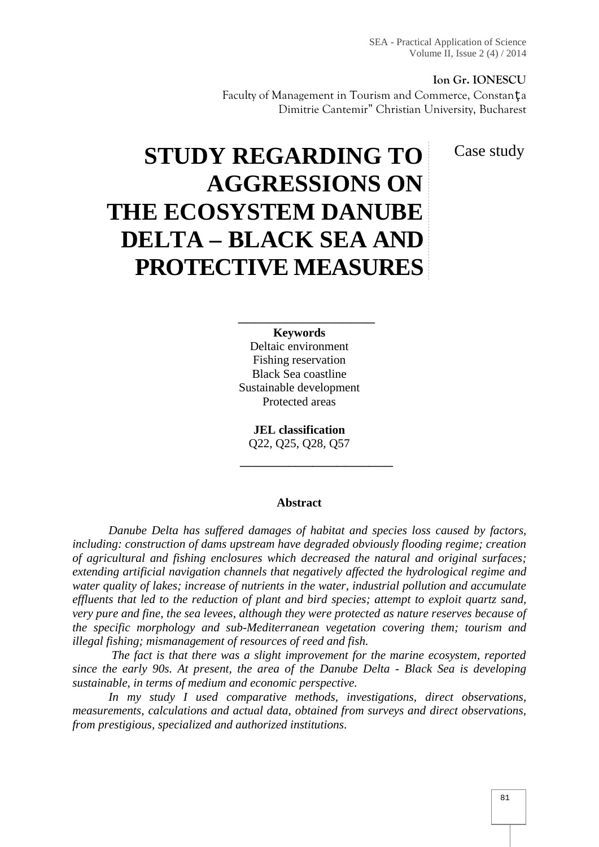#### **Ion Gr. IONESCU**

Faculty of Management in Tourism and Commerce, Constan a Dimitrie Cantemir" Christian University, Bucharest

Case study

# **STUDY REGARDING TO AGGRESSIONS ON THE ECOSYSTEM DANUBE DELTA – BLACK SEA AND PROTECTIVE MEASURES**

#### **Keywords**

\_\_\_\_\_\_\_\_\_\_\_\_\_\_\_\_\_

\_\_\_\_\_\_\_\_\_\_\_\_\_\_\_\_\_\_\_

Deltaic environment Fishing reservation Black Sea coastline Sustainable development Protected areas

**JEL classification** Q22, Q25, Q28, Q57

#### **Abstract**

*Danube Delta has suffered damages of habitat and species loss caused by factors, including: construction of dams upstream have degraded obviously flooding regime; creation of agricultural and fishing enclosures which decreased the natural and original surfaces; extending artificial navigation channels that negatively affected the hydrological regime and water quality of lakes; increase of nutrients in the water, industrial pollution and accumulate effluents that led to the reduction of plant and bird species; attempt to exploit quartz sand, very pure and fine, the sea levees, although they were protected as nature reserves because of the specific morphology and sub-Mediterranean vegetation covering them; tourism and illegal fishing; mismanagement of resources of reed and fish.*

*The fact is that there was a slight improvement for the marine ecosystem, reported since the early 90s. At present, the area of the Danube Delta - Black Sea is developing sustainable, in terms of medium and economic perspective.*

*In my study I used comparative methods, investigations, direct observations, measurements, calculations and actual data, obtained from surveys and direct observations, from prestigious, specialized and authorized institutions.*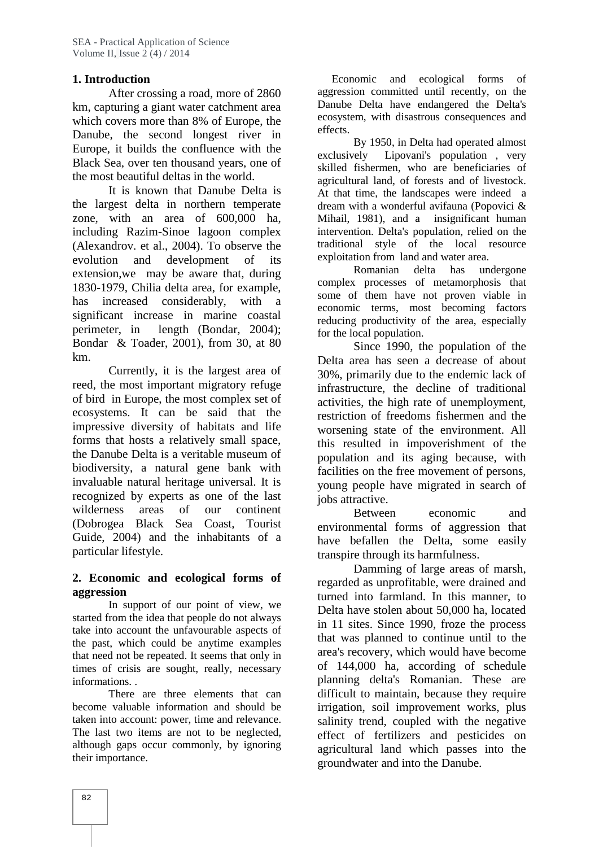## **1. Introduction**

After crossing a road, more of 2860 km, capturing a giant water catchment area which covers more than 8% of Europe, the Danube, the second longest river in Europe, it builds the confluence with the Black Sea, over ten thousand years, one of the most beautiful deltas in the world.

It is known that Danube Delta is the largest delta in northern temperate zone, with an area of 600,000 ha, including Razim-Sinoe lagoon complex (Alexandrov. et al., 2004). To observe the evolution and development of its extension,we may be aware that, during 1830-1979, Chilia delta area, for example, has increased considerably, with a significant increase in marine coastal perimeter, in length (Bondar, 2004); Bondar & Toader, 2001), from 30, at 80 km.

Currently, it is the largest area of reed, the most important migratory refuge of bird in Europe, the most complex set of ecosystems. It can be said that the impressive diversity of habitats and life forms that hosts a relatively small space, the Danube Delta is a veritable museum of biodiversity, a natural gene bank with invaluable natural heritage universal. It is recognized by experts as one of the last wilderness areas of our continent (Dobrogea Black Sea Coast, Tourist Guide, 2004) and the inhabitants of a particular lifestyle.

## **2. Economic and ecological forms of aggression**

In support of our point of view, we started from the idea that people do not always take into account the unfavourable aspects of the past, which could be anytime examples that need not be repeated. It seems that only in times of crisis are sought, really, necessary informations. .

There are three elements that can become valuable information and should be taken into account: power, time and relevance. The last two items are not to be neglected, although gaps occur commonly, by ignoring their importance.

Economic and ecological forms of aggression committed until recently, on the Danube Delta have endangered the Delta's ecosystem, with disastrous consequences and effects.

By 1950, in Delta had operated almost exclusively Lipovani's population , very skilled fishermen, who are beneficiaries of agricultural land, of forests and of livestock. At that time, the landscapes were indeed a dream with a wonderful avifauna (Popovici & Mihail, 1981), and a insignificant human intervention. Delta's population, relied on the traditional style of the local resource exploitation from land and water area.

Romanian delta has undergone complex processes of metamorphosis that some of them have not proven viable in economic terms, most becoming factors reducing productivity of the area, especially for the local population.

Since 1990, the population of the Delta area has seen a decrease of about 30%, primarily due to the endemic lack of infrastructure, the decline of traditional activities, the high rate of unemployment, restriction of freedoms fishermen and the worsening state of the environment. All this resulted in impoverishment of the population and its aging because, with facilities on the free movement of persons, young people have migrated in search of jobs attractive.

Between economic and environmental forms of aggression that have befallen the Delta, some easily transpire through its harmfulness.

Damming of large areas of marsh, regarded as unprofitable, were drained and turned into farmland. In this manner, to Delta have stolen about 50,000 ha, located in 11 sites. Since 1990, froze the process that was planned to continue until to the area's recovery, which would have become of 144,000 ha, according of schedule planning delta's Romanian. These are difficult to maintain, because they require irrigation, soil improvement works, plus salinity trend, coupled with the negative effect of fertilizers and pesticides on agricultural land which passes into the groundwater and into the Danube.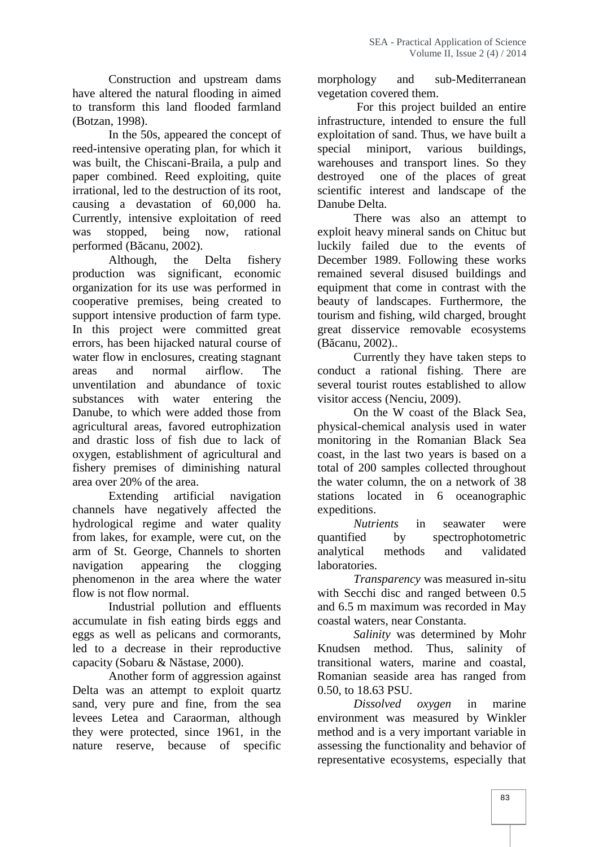Construction and upstream dams have altered the natural flooding in aimed to transform this land flooded farmland (Botzan, 1998).

In the 50s, appeared the concept of reed-intensive operating plan, for which it was built, the Chiscani-Braila, a pulp and paper combined. Reed exploiting, quite irrational, led to the destruction of its root, causing a devastation of 60,000 ha. Currently, intensive exploitation of reed was stopped, being now, rational performed (B canu, 2002).

Although, the Delta fishery production was significant, economic organization for its use was performed in cooperative premises, being created to support intensive production of farm type. In this project were committed great errors, has been hijacked natural course of water flow in enclosures, creating stagnant areas and normal airflow. The unventilation and abundance of toxic substances with water entering the Danube, to which were added those from agricultural areas, favored eutrophization and drastic loss of fish due to lack of oxygen, establishment of agricultural and fishery premises of diminishing natural area over 20% of the area.

Extending artificial navigation channels have negatively affected the hydrological regime and water quality  $Nuu$ <br>from lakes, for example, were cut, on the quantified from lakes, for example, were cut, on the arm of St. George, Channels to shorten navigation appearing the clogging phenomenon in the area where the water flow is not flow normal.

Industrial pollution and effluents accumulate in fish eating birds eggs and eggs as well as pelicans and cormorants, led to a decrease in their reproductive capacity (Sobaru & N stase, 2000).

Another form of aggression against Delta was an attempt to exploit quartz sand, very pure and fine, from the sea levees Letea and Caraorman, although they were protected, since 1961, in the nature reserve, because of specific morphology and sub-Mediterranean vegetation covered them.

For this project builded an entire infrastructure, intended to ensure the full exploitation of sand. Thus, we have built a special miniport, various buildings, warehouses and transport lines. So they destroyed one of the places of great scientific interest and landscape of the Danube Delta.

There was also an attempt to exploit heavy mineral sands on Chituc but luckily failed due to the events of December 1989. Following these works remained several disused buildings and equipment that come in contrast with the beauty of landscapes. Furthermore, the tourism and fishing, wild charged, brought great disservice removable ecosystems (B canu, 2002)..

Currently they have taken steps to conduct a rational fishing. There are several tourist routes established to allow visitor access (Nenciu, 2009).

On the W coast of the Black Sea, physical-chemical analysis used in water monitoring in the Romanian Black Sea coast, in the last two years is based on a total of 200 samples collected throughout the water column, the on a network of 38 stations located in 6 oceanographic expeditions.

*Nutrients* in seawater were by spectrophotometric analytical methods and validated laboratories.

*Transparency* was measured in-situ with Secchi disc and ranged between 0.5 and 6.5 m maximum was recorded in May coastal waters, near Constanta.

*Salinity* was determined by Mohr Knudsen method. Thus, salinity of transitional waters, marine and coastal, Romanian seaside area has ranged from 0.50, to 18.63 PSU.

*Dissolved oxygen* in marine environment was measured by Winkler method and is a very important variable in assessing the functionality and behavior of representative ecosystems, especially that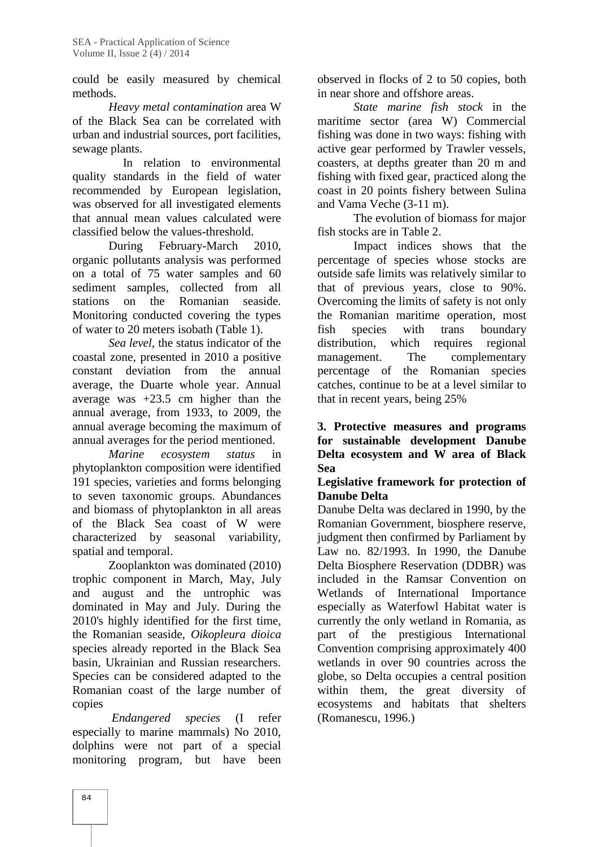could be easily measured by chemical methods.

*Heavy metal contamination* area W of the Black Sea can be correlated with urban and industrial sources, port facilities, sewage plants.

In relation to environmental quality standards in the field of water recommended by European legislation, was observed for all investigated elements that annual mean values calculated were classified below the values-threshold.

During February-March 2010, organic pollutants analysis was performed on a total of 75 water samples and 60 sediment samples, collected from all stations on the Romanian seaside. Monitoring conducted covering the types of water to 20 meters isobath (Table 1).

*Sea level*, the status indicator of the coastal zone, presented in 2010 a positive constant deviation from the annual average, the Duarte whole year. Annual average was +23.5 cm higher than the annual average, from 1933, to 2009, the annual average becoming the maximum of annual averages for the period mentioned.

*Marine ecosystem status* in phytoplankton composition were identified 191 species, varieties and forms belonging to seven taxonomic groups. Abundances and biomass of phytoplankton in all areas of the Black Sea coast of W were characterized by seasonal variability, spatial and temporal.

Zooplankton was dominated (2010) trophic component in March, May, July and august and the untrophic was dominated in May and July. During the 2010's highly identified for the first time, the Romanian seaside, *Oikopleura dioica* species already reported in the Black Sea basin, Ukrainian and Russian researchers. Species can be considered adapted to the Romanian coast of the large number of copies

*Endangered species* (I refer especially to marine mammals) No 2010, dolphins were not part of a special monitoring program, but have been

observed in flocks of 2 to 50 copies, both in near shore and offshore areas.

*State marine fish stock* in the maritime sector (area W) Commercial fishing was done in two ways: fishing with active gear performed by Trawler vessels, coasters, at depths greater than 20 m and fishing with fixed gear, practiced along the coast in 20 points fishery between Sulina and Vama Veche (3-11 m).

The evolution of biomass for major fish stocks are in Table 2.

Impact indices shows that the percentage of species whose stocks are outside safe limits was relatively similar to that of previous years, close to 90%. Overcoming the limits of safety is not only the Romanian maritime operation, most fish species with trans boundary distribution, which requires regional The complementary percentage of the Romanian species catches, continue to be at a level similar to that in recent years, being 25%

**3. Protective measures and programs for sustainable development Danube Delta ecosystem and W area of Black Sea**

## **Legislative framework for protection of Danube Delta**

Danube Delta was declared in 1990, by the Romanian Government, biosphere reserve, judgment then confirmed by Parliament by Law no. 82/1993. In 1990, the Danube Delta Biosphere Reservation (DDBR) was included in the Ramsar Convention on Wetlands of International Importance especially as Waterfowl Habitat water is currently the only wetland in Romania, as part of the prestigious International Convention comprising approximately 400 wetlands in over 90 countries across the globe, so Delta occupies a central position within them, the great diversity of ecosystems and habitats that shelters (Romanescu, 1996.)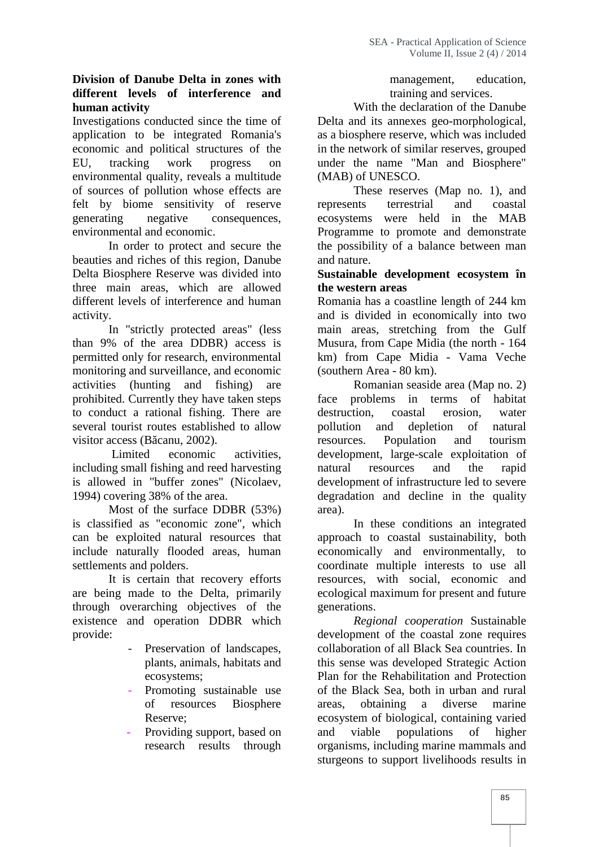## **Division of Danube Delta in zones with different levels of interference and human activity**

Investigations conducted since the time of application to be integrated Romania's economic and political structures of the EU, tracking work progress on environmental quality, reveals a multitude of sources of pollution whose effects are felt by biome sensitivity of reserve generating negative consequences, environmental and economic.

In order to protect and secure the beauties and riches of this region, Danube Delta Biosphere Reserve was divided into three main areas, which are allowed different levels of interference and human activity.<br>In "strictly protected areas" (less

than 9% of the area DDBR) access is permitted only for research, environmental monitoring and surveillance, and economic activities (hunting and fishing) are prohibited. Currently they have taken steps to conduct a rational fishing. There are several tourist routes established to allow pollution visitor access  $(B \text{ canu}, 2002)$ .

Limited economic activities, including small fishing and reed harvesting is allowed in "buffer zones" (Nicolaev, 1994) covering 38% of the area.

Most of the surface DDBR (53%) is classified as "economic zone", which can be exploited natural resources that include naturally flooded areas, human settlements and polders.

It is certain that recovery efforts are being made to the Delta, primarily through overarching objectives of the existence and operation DDBR which provide:

- Preservation of landscapes, plants, animals, habitats and ecosystems;
- Promoting sustainable use of resources Biosphere Reserve;
- Providing support, based on and research results through

management, education, training and services.

With the declaration of the Danube Delta and its annexes geo-morphological, as a biosphere reserve, which was included in the network of similar reserves, grouped under the name "Man and Biosphere" (MAB) of UNESCO.

These reserves (Map no. 1), and represents terrestrial and coastal ecosystems were held in the MAB Programme to promote and demonstrate the possibility of a balance between man and nature.

## **Sustainable development ecosystem în the western areas**

Romania has a coastline length of 244 km and is divided in economically into two main areas, stretching from the Gulf Musura, from Cape Midia (the north - 164 km) from Cape Midia - Vama Veche (southern Area - 80 km).

Romanian seaside area (Map no. 2) face problems in terms of habitat destruction, coastal erosion, water and depletion of natural resources. Population and tourism development, large-scale exploitation of resources and the rapid development of infrastructure led to severe degradation and decline in the quality area).

In these conditions an integrated approach to coastal sustainability, both economically and environmentally, to coordinate multiple interests to use all resources, with social, economic and ecological maximum for present and future generations.

*Regional cooperation* Sustainable development of the coastal zone requires collaboration of all Black Sea countries. In this sense was developed Strategic Action Plan for the Rehabilitation and Protection of the Black Sea, both in urban and rural obtaining a diverse marine ecosystem of biological, containing varied viable populations of higher organisms, including marine mammals and sturgeons to support livelihoods results in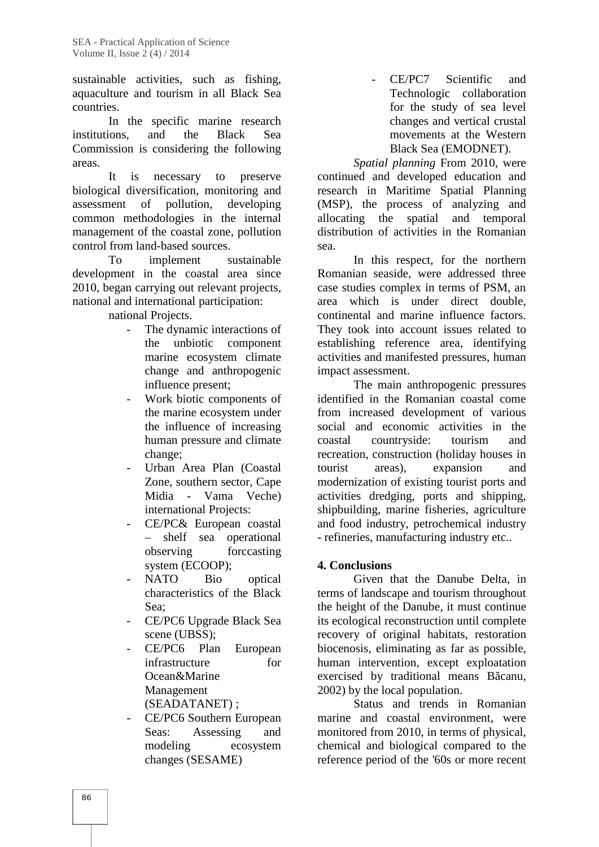sustainable activities, such as fishing, aquaculture and tourism in all Black Sea countries.

In the specific marine research institutions, and the Black Sea Commission is considering the following areas.

It is necessary to preserve biological diversification, monitoring and<br>assessment of pollution, developing assessment of pollution, common methodologies in the internal management of the coastal zone, pollution control from land-based sources.

To implement sustainable development in the coastal area since 2010, began carrying out relevant projects, national and international participation:

national Projects.

- The dynamic interactions of the unbiotic component marine ecosystem climate change and anthropogenic influence present;
- Work biotic components of the marine ecosystem under the influence of increasing human pressure and climate coastal change;
- Urban Area Plan (Coastal Zone, southern sector, Cape Midia - Vama Veche) international Projects:
- CE/PC& European coastal – shelf sea operational observing forccasting system (ECOOP);
- NATO Bio optical characteristics of the Black Sea;
- CE/PC6 Upgrade Black Sea scene (UBSS);
- CE/PC6 Plan European infrastructure for Ocean&Marine Management (SEADATANET) ;
- CE/PC6 Southern European Seas: Assessing and modeling ecosystem changes (SESAME)

- CE/PC7 Scientific and Technologic collaboration for the study of sea level changes and vertical crustal movements at the Western Black Sea (EMODNET).

*Spatial planning* From 2010, were continued and developed education and research in Maritime Spatial Planning (MSP), the process of analyzing and allocating the spatial and temporal distribution of activities in the Romanian sea.

In this respect, for the northern Romanian seaside, were addressed three case studies complex in terms of PSM, an area which is under direct double, continental and marine influence factors. They took into account issues related to establishing reference area, identifying activities and manifested pressures, human impact assessment.

The main anthropogenic pressures identified in the Romanian coastal come from increased development of various social and economic activities in the countryside: tourism and recreation, construction (holiday houses in tourist areas), expansion and modernization of existing tourist ports and activities dredging, ports and shipping, shipbuilding, marine fisheries, agriculture and food industry, petrochemical industry - refineries, manufacturing industry etc..

# **4. Conclusions**

Given that the Danube Delta, in terms of landscape and tourism throughout the height of the Danube, it must continue its ecological reconstruction until complete recovery of original habitats, restoration biocenosis, eliminating as far as possible, human intervention, except exploatation exercised by traditional means B canu, 2002) by the local population.

Status and trends in Romanian marine and coastal environment, were monitored from 2010, in terms of physical, chemical and biological compared to the reference period of the '60s or more recent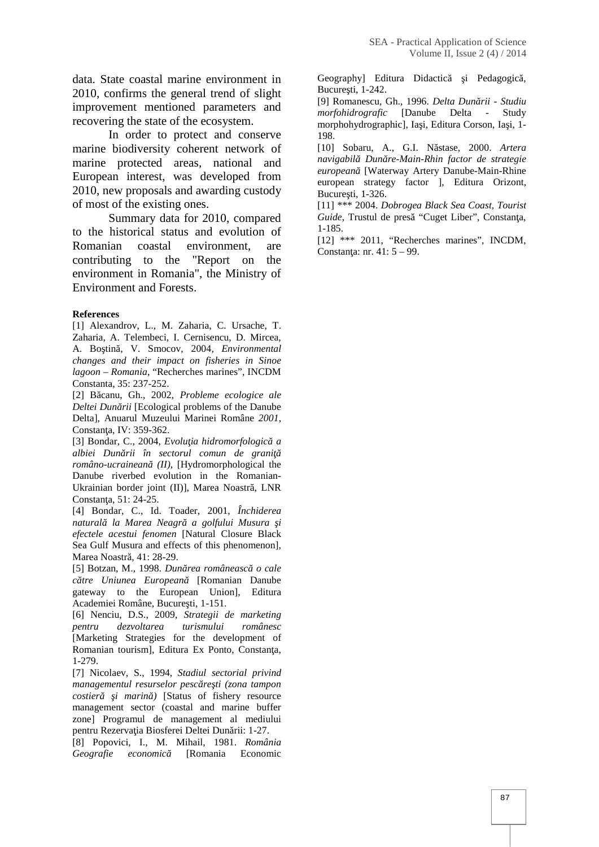data. State coastal marine environment in  $2010$ , confirms the general trend of slight improvement mentioned parameters and recovering the state of the ecosystem.

In order to protect and conserve marine biodiversity coherent network of marine protected areas, national and European interest, was developed from 2010, new proposals and awarding custody of most of the existing ones.

Summary data for 2010, compared to the historical status and evolution of Romanian coastal environment, are contributing to the "Report on the environment in Romania", the Ministry of Environment and Forests.

#### **References**

[1] Alexandrov, L., M. Zaharia, C. Ursache, T. Zaharia, A. Telembeci, I. Cernisencu, D. Mircea, A. Bo tin, V. Smocov, 2004, Environmental *changes and their impact on fisheries in Sinoe lagoon – Romania*, "Recherches marines", INCDM Constanta, 35: 237-252.

[2] B canu, Gh., 2002, *Probleme ecologice ale Deltei Dun rii* [Ecological problems of the Danube Delta], Anuarul Muzeului Marinei Române *2001*, Constan a, IV: 359-362.

[3] Bondar, C., 2004, *Evolu ia hidromorfologic* a albiei Dun rii în sectorul comun de grani *româno-ucrainean* (II), [Hydromorphological the Danube riverbed evolution in the Romanian- Ukrainian border joint (II)], Marea Noastr , LNR Constan a, 51: 24-25.

[4] Bondar, C., Id. Toader, 2001, *Închiderea naturală la Marea Neagră a golfului Musura şi efectele acestui fenomen* [Natural Closure Black Sea Gulf Musura and effects of this phenomenon], Marea Noastr<sub>1</sub>, 41: 28-29.

[5] Botzan, M., 1998. *Dun rea româneasc* o cale *c* tre Uniunea European [Romanian Danube gateway to the European Union], Editura Academiei Române, Bucure ti, 1-151.

[6] Nenciu, D.S., 2009, *Strategii de marketing pentru dezvoltarea turismului românesc* [Marketing Strategies for the development of Romanian tourism], Editura Ex Ponto, Constan a, 1-279.

[7] Nicolaev, S., 1994, *Stadiul sectorial privind managementul resurselor pesc re ti (zona tampon costier i marin* ) [Status of fishery resource management sector (coastal and marine buffer zone] Programul de management al mediului pentru Rezerva ia Biosferei Deltei Dun rii: 1-27.

[8] Popovici, I., M. Mihail, 1981. *România Geografie economic* [Romania Economic

Geography] Editura Didactic i Pedagogic, Bucure ti, 1-242.

[9] Romanescu, Gh., 1996. *Delta Dunării - Studiu morfohidrografic* [Danube Delta - Study morphohydrographic], Ia i, Editura Corson, Ia i, 1-198.

[10] Sobaru, A., G.I. Năstase, 2000. *Artera navigabilă Dunăre-Main-Rhin factor de strategie europeană* [Waterway Artery Danube-Main-Rhine european strategy factor ], Editura Orizont, Bucure ti,  $1-326$ .

[11] \*\*\* 2004. *Dobrogea Black Sea Coast, Tourist Guide*, Trustul de pres<sup>"</sup> "Cuget Liber", Constan a, 1-185.

[12] \*\*\* 2011, "Recherches marines", INCDM, Constan a: nr.  $41: 5 - 99$ .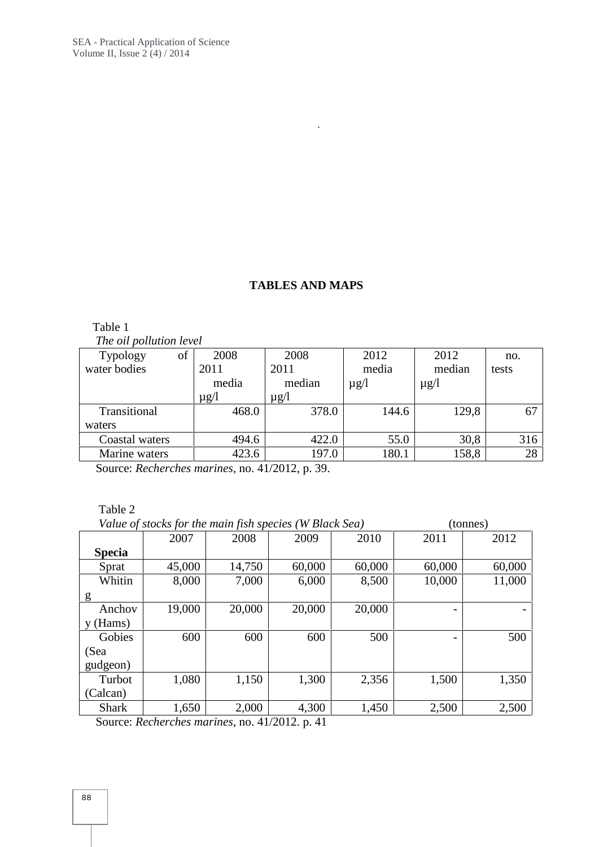# **TABLES AND MAPS**

.

Table 1 *The oil pollution level*

| of | 2008      | 2008                           | 2012      | 2012      | no.   |
|----|-----------|--------------------------------|-----------|-----------|-------|
|    | 2011      | 2011                           | media     | median    | tests |
|    | media     | median                         | $\mu$ g/l | $\mu$ g/l |       |
|    | $\mu$ g/l | $\mu$ g/l                      |           |           |       |
|    | 468.0     | 378.0                          | 144.6     | 129,8     | 67    |
|    |           |                                |           |           |       |
|    | 494.6     | 422.0                          | 55.0      | 30,8      | 316   |
|    | 423.6     | 197.0                          | 180.1     | 158,8     | 28    |
|    |           | <b>The out political teret</b> |           |           |       |

Source: *Recherches marines*, no. 41/2012, p. 39.

Table 2

|               | Value of stocks for the main fish species (W Black Sea) |        |        |        |        | (tonnes) |  |
|---------------|---------------------------------------------------------|--------|--------|--------|--------|----------|--|
|               | 2007                                                    | 2008   | 2009   | 2010   | 2011   | 2012     |  |
| <b>Specia</b> |                                                         |        |        |        |        |          |  |
| Sprat         | 45,000                                                  | 14,750 | 60,000 | 60,000 | 60,000 | 60,000   |  |
| Whitin        | 8,000                                                   | 7,000  | 6,000  | 8,500  | 10,000 | 11,000   |  |
| g             |                                                         |        |        |        |        |          |  |
| Anchov        | 19,000                                                  | 20,000 | 20,000 | 20,000 | -      |          |  |
| $y$ (Hams)    |                                                         |        |        |        |        |          |  |
| Gobies        | 600                                                     | 600    | 600    | 500    |        | 500      |  |
| (Sea          |                                                         |        |        |        |        |          |  |
| gudgeon)      |                                                         |        |        |        |        |          |  |
| Turbot        | 1,080                                                   | 1,150  | 1,300  | 2,356  | 1,500  | 1,350    |  |
| (Calcan)      |                                                         |        |        |        |        |          |  |
| <b>Shark</b>  | 1,650                                                   | 2,000  | 4,300  | 1,450  | 2,500  | 2,500    |  |

Source: *Recherches marines*, no. 41/2012. p. 41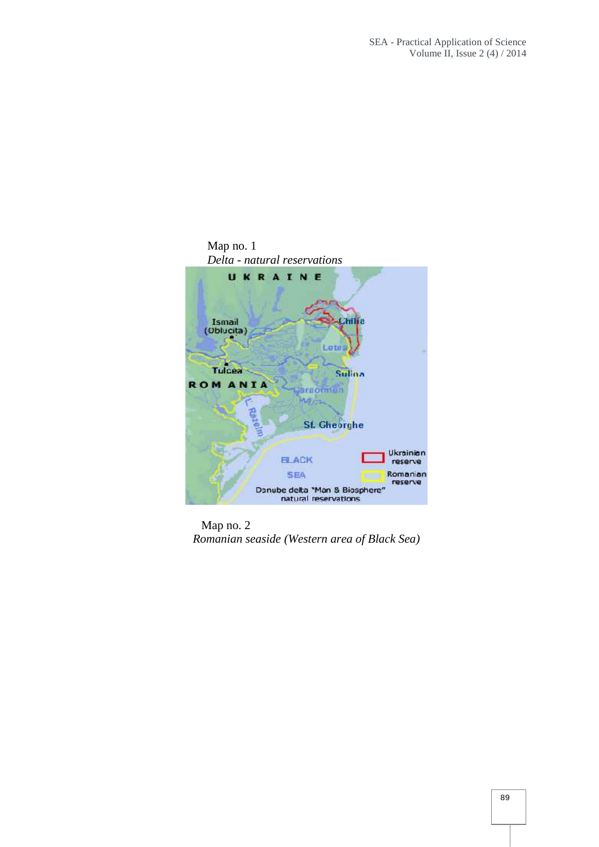

Map no. 2 *Romanian seaside (Western area of Black Sea)*